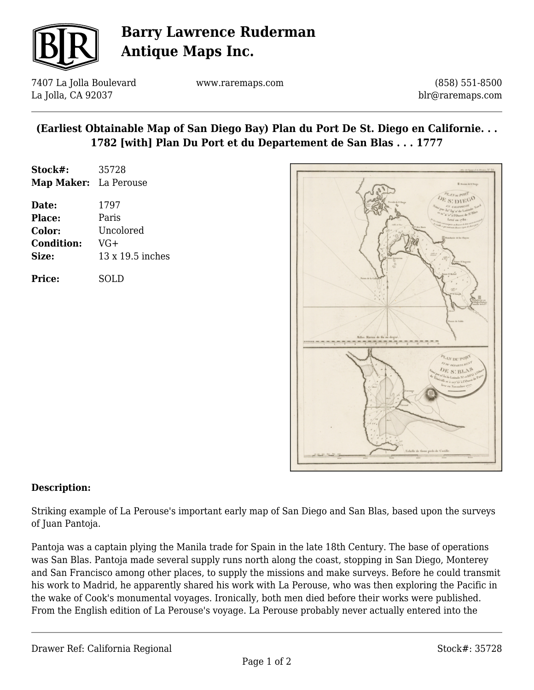

## **Barry Lawrence Ruderman Antique Maps Inc.**

7407 La Jolla Boulevard La Jolla, CA 92037

www.raremaps.com

(858) 551-8500 blr@raremaps.com

## **(Earliest Obtainable Map of San Diego Bay) Plan du Port De St. Diego en Californie. . . 1782 [with] Plan Du Port et du Departement de San Blas . . . 1777**

| Stock#:           | 35728            |
|-------------------|------------------|
| <b>Map Maker:</b> | La Perouse       |
| Date:             | 1797             |
| Place:            | Paris            |
| Color:            | Uncolored        |
| <b>Condition:</b> | $VG+$            |
| Size:             | 13 x 19.5 inches |
| <b>Price:</b>     | SOLD             |



### **Description:**

Striking example of La Perouse's important early map of San Diego and San Blas, based upon the surveys of Juan Pantoja.

Pantoja was a captain plying the Manila trade for Spain in the late 18th Century. The base of operations was San Blas. Pantoja made several supply runs north along the coast, stopping in San Diego, Monterey and San Francisco among other places, to supply the missions and make surveys. Before he could transmit his work to Madrid, he apparently shared his work with La Perouse, who was then exploring the Pacific in the wake of Cook's monumental voyages. Ironically, both men died before their works were published. From the English edition of La Perouse's voyage. La Perouse probably never actually entered into the